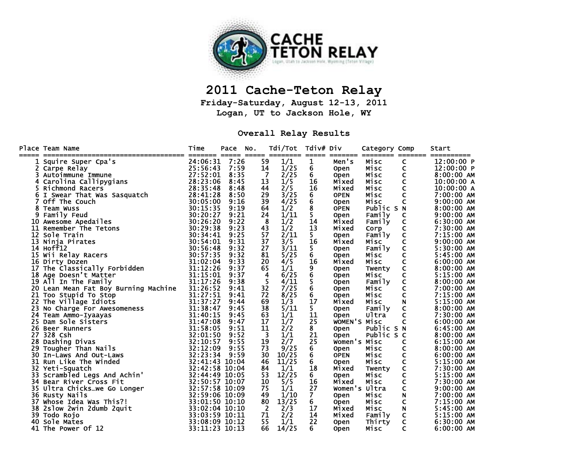

## **2011 Cache-Teton Relay**

**Friday-Saturday, August 12-13, 2011 Logan, UT to Jackson Hole, WY** 

## **Overall Relay Results**

|    | Place Team Name<br>------------------------------ | Time<br>======= ===== ===== ======== ===== | Pace | NO. |    | Tdi/Tot | Tdiv# Div        |               | Category Comp<br>-------- -------- | _______                         | Start<br>__________ |
|----|---------------------------------------------------|--------------------------------------------|------|-----|----|---------|------------------|---------------|------------------------------------|---------------------------------|---------------------|
|    | 1 Squire Super Cpa's                              | 24:06:31                                   | 7:26 |     | 59 | 1/1     | 1                | Men's         | Misc                               | C                               | 12:00:00 P          |
|    | 2 Carpe Relay                                     | 25:56:43                                   | 7:59 |     | 14 | 1/25    | 6                | <b>Open</b>   | Misc                               | C                               | 12:00:00 P          |
|    | Autoimmune Immune                                 | 27:52:01                                   | 8:35 |     | 7  | 2/25    | 6                | <b>Open</b>   | Misc                               | C                               | $8:00:00$ AM        |
| 4  | Carolina Callipygians                             | 28:23:06                                   | 8:45 |     | 13 | 1/5     | 16               | Mixed         | Misc                               | $\mathsf{C}$                    | 10:00:00 A          |
|    | 5 Richmond Racers                                 | 28:35:48                                   | 8:48 |     | 44 | 2/5     | 16               | Mixed         | Misc                               | $\mathsf{C}$                    | 10:00:00 A          |
|    | 6 I Swear That Was Sasquatch                      | 28:41:28                                   | 8:50 |     | 29 | 3/25    | 6<br>6           | <b>OPEN</b>   | Misc                               | $\overline{\mathsf{C}}$         | 7:00:00 AM          |
|    | 7 Off The Couch                                   | 30:05:00                                   | 9:16 |     | 39 | 4/25    |                  | <b>Open</b>   | Misc                               | $\mathsf{C}$                    | $9:00:00$ AM        |
|    | 8 Team Wuss                                       | 30:15:35                                   | 9:19 |     | 64 | 1/2     | $\bar{8}$        | <b>OPEN</b>   | Public S N                         |                                 | 8:00:00 AM          |
| 9  | Family Feud                                       | 30:20:27                                   | 9:21 |     | 24 | 1/11    | 5                | <b>Open</b>   | Family                             | $\mathsf{C}$                    | 9:00:00 AM          |
|    | 10 Awesome Apedailes                              | 30:26:20                                   | 9:22 |     | 8  | 1/2     | 14               | Mixed         | Family                             | $\rm _c^c$                      | 6:30:00 AM          |
|    | 11 Remember The Tetons                            | 30:29:38                                   | 9:23 |     | 43 | 1/2     | 13               | Mixed         | Corp                               |                                 | 7:30:00 AM          |
|    | 12 Sole Train                                     | 30:34:41                                   | 9:25 |     | 57 | 2/11    | 5.               | <b>Open</b>   | Family                             | $\mathbf{c}$                    | 7:15:00 AM          |
|    | 13 Ninja Pirates                                  | 30:54:01                                   | 9:31 |     | 37 | 3/5     | 16               | Mixed         | Misc                               |                                 | $9:00:00$ AM        |
|    | 14 Hoff12                                         | 30:56:48                                   | 9:32 |     | 27 | 3/11    | 5.               | <b>Open</b>   | Family                             | C                               | 5:30:00 AM          |
|    | 15 Wii Relay Racers                               | 30:57:35                                   | 9:32 |     | 81 | 5/25    | 6                | <b>Open</b>   | Misc                               | C                               | 5:45:00 AM          |
|    | 16 Dirty Dozen                                    | 31:02:04                                   | 9:33 |     | 20 | 4/5     | 16               | Mixed         | Misc                               | $\mathsf{C}$                    | $6:00:00$ AM        |
|    | 17 The Classically Forbidden                      | 31:12:26                                   | 9:37 |     | 65 | 1/1     | 9<br>6<br>5<br>6 | <b>Open</b>   | Twenty                             | $\frac{\dot{c}}{c}$             | $8:00:00$ AM        |
|    | 18 Age Doesn't Matter                             | 31:15:01                                   | 9:37 |     | 4  | 6/25    |                  | <b>Open</b>   | Misc                               |                                 | 5:15:00 AM          |
|    | 19 All In The Family                              | 31:17:26                                   | 9:38 |     | 5  | 4/11    |                  | <b>Open</b>   | Family                             | $\mathsf{C}$                    | 8:00:00 AM          |
|    | 20 Lean Mean Fat Boy Burning Machine              | 31:26:52                                   | 9:41 |     | 32 | 7/25    |                  | <b>Open</b>   | Misc                               | $\mathsf{C}$                    | 7:00:00 AM          |
| 21 | Too Stupid To Stop                                | 31:27:51                                   | 9:41 |     | 72 | 8/25    | 6                | <b>Open</b>   | Misc                               | $\mathsf{C}$                    | 7:15:00 AM          |
|    | 22 The Village Idiots                             | 31:37:27                                   | 9:44 |     | 69 | 1/3     | 17               | Mixed         | Misc                               | $\overline{N}$                  | 5:15:00 AM          |
| 23 | No Charge For Awesomeness<br>Team Ammo-Iyaayas    | 31:38:47                                   | 9:45 |     | 38 | 5/11    | 5.               | <b>Open</b>   | Family                             | $\mathbf{c}$                    | 8:00:00 AM          |
|    | 24 Team Ammo-Iyaayas                              | 31:40:15                                   | 9:45 |     | 63 | 1/1     | 11               | <b>Open</b>   | Ultra                              |                                 | 7:30:00 AM          |
|    | 25 Dam Sole Sisters                               | 31:47:08                                   | 9:47 |     | 17 | 1/7     | 25               | WOMEN'S Misc  |                                    | $\mathsf{C}$                    | $6:00:00$ AM        |
|    | 26 Beer Runners                                   | 31:58:05                                   | 9:51 |     | 11 | 2/2     | 8                | <b>Open</b>   | Public S N                         |                                 | $6:45:00$ AM        |
|    | 27 328 Csh                                        | 32:01:50                                   | 9:52 |     | 3  | 1/1     | 21               | <b>Open</b>   | Public S C                         |                                 | $8:00:00$ AM        |
|    | 28 Dashing Divas                                  | 32:10:57                                   | 9:55 |     | 19 | 2/7     | 25               | Women's Misc  |                                    | C                               | $6:15:00$ AM        |
|    | 29 Tougher Than Nails                             | 32:12:09                                   | 9:55 |     | 73 | 9/25    | 6                | <b>Open</b>   | Misc                               | C                               | 8:00:00 AM          |
|    | 30 In-Laws And Out-Laws                           | 32:23:34                                   | 9:59 |     | 30 | 10/25   | $\bar{6}$        | <b>OPEN</b>   | Misc                               | $\mathsf{C}$                    | 6:00:00 AM          |
|    | 31 Run Like The Winded                            | 32:41:43 10:04                             |      |     | 46 | 11/25   | 6                | <b>Open</b>   | Misc                               | $\mathsf{C}$                    | 5:15:00 AM          |
|    | 32 Yeti-Squatch                                   | 32:42:58 10:04                             |      |     | 84 | 1/1     | 18               | Mixed         | Twenty                             | $\frac{\mathsf{C}}{\mathsf{C}}$ | 7:30:00 AM          |
|    | 33 Scrambled Legs And Achin'                      | 32:44:49 10:05                             |      |     | 53 | 12/25   | 6                | <b>Open</b>   | Misc                               |                                 | 5:15:00 AM          |
|    | 34 Bear River Cross Fit                           | 32:50:57 10:07                             |      |     | 10 | 5/5     | 16               | Mixed         | Misc                               | C                               | 7:30:00 AM          |
|    | 35 Ultra Chicks…we Go Longer                      | 32:57:58 10:09                             |      |     | 75 | 1/1     | 27               | Women's Ultra |                                    | C                               | $9:00:00$ AM        |
|    | 36 Rusty Nails                                    | 32:59:06 10:09                             |      |     | 49 | 1/10    | 7.               | <b>Open</b>   | Misc                               | $\mathsf{N}\xspace$             | 7:00:00 AM          |
| 37 | Whose Idea Was This?!                             | 33:01:50 10:10                             |      |     | 80 | 13/25   | 6                | <b>Open</b>   | Misc                               | $\mathsf{C}$                    | 7:15:00 AM          |
|    | 38 2slow 2win 2dumb 2quit                         | 33:02:04 10:10                             |      |     | 2  | 2/3     | 17               | Mixed         | Misc                               | $\mathsf{N}$                    | 5:45:00 AM          |
|    | 39 Todo Rojo                                      | 33:03:59 10:11                             |      |     | 71 | 2/2     | 14               | Mixed         | Family                             | C                               | $5:15:00$ AM        |
| 40 | Sole Mates                                        | 33:08:09 10:12                             |      |     | 55 | 1/1     | 22               | <b>Open</b>   | Thirty                             | $\mathsf{C}$                    | $6:30:00$ AM        |
|    | 41 The Power Of 12                                | 33:11:23 10:13                             |      |     | 66 | 14/25   | 6                | <b>Open</b>   | Misc                               | C                               | $6:00:00$ AM        |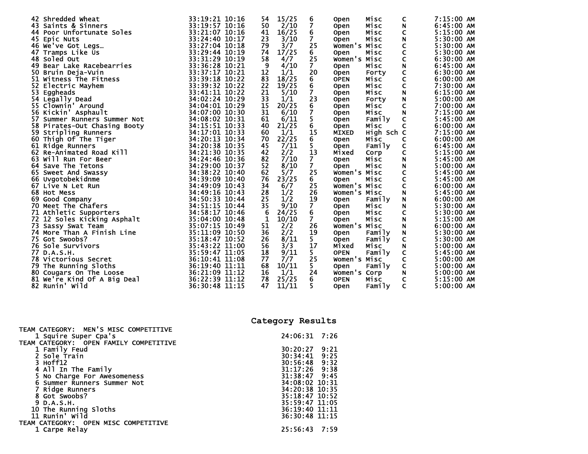| 42 Shredded Wheat                        | 33:19:21 10:16 | 15/25<br>54           | 6                       | Misc<br>Open                | 7:15:00 AM<br>C                           |
|------------------------------------------|----------------|-----------------------|-------------------------|-----------------------------|-------------------------------------------|
| 43 Saints & Sinners                      | 33:19:57 10:16 | 2/10<br>50            | $\overline{\mathbf{z}}$ | Misc<br><b>Open</b>         | 6:45:00 AM<br>N                           |
| 44 Poor Unfortunate Soles                | 33:21:07 10:16 | 16/25<br>41           | 6                       | Misc<br><b>Open</b>         | C<br>5:15:00 AM                           |
| 45 Epic Nuts                             | 33:24:40 10:17 | 3/10<br>23            | 7                       | Misc<br><b>Open</b>         | 5:30:00 AM<br>N                           |
| 46 We've Got Legs                        | 33:27:04 10:18 | 79<br>3/7             | 25                      | Women's Misc                | 5:30:00 AM                                |
| 47 Tramps Like Us                        | 33:29:44 10:19 | 17/25<br>74           | 6.                      | Misc<br><b>Open</b>         | C<br>C<br>5:30:00 AM                      |
| 48 Soled Out                             | 33:31:29 10:19 | 58<br>4/7             | 25                      | Women's Misc                | C<br>$6:30:00$ AM                         |
| 49 Bear Lake Racebearries                | 33:36:28 10:21 | 9<br>4/10             | 7                       | Misc<br><b>Open</b>         | N<br>$6:45:00$ AM                         |
| 50 Bruin Deja-Vuin                       | 33:37:17 10:21 | 12<br>1/1             | 20                      | Forty<br><b>Open</b>        | C<br>$6:30:00$ AM                         |
| 51 Witness The Fitness                   | 33:39:18 10:22 | 83<br>18/25           | 6                       | <b>OPEN</b><br>Misc         | C<br>$6:00:00$ AM                         |
| 52 Electric Mayhem                       | 33:39:32 10:22 | 22<br>19/25           | 6                       | Misc<br><b>Open</b>         | $\mathsf c$<br>7:30:00 AM                 |
| 53<br>Eggheads                           | 33:41:11 10:22 | 21<br>5/10            | 7                       | Misc<br><b>Open</b>         | $\boldsymbol{\mathsf{N}}$<br>$6:15:00$ AM |
| 54 Legally Dead                          | 34:02:24 10:29 | 33<br>1/1             | 23                      | Forty<br><b>Open</b>        | $\mathbf N$<br>5:00:00 AM                 |
| 55 Clownin' Around                       | 34:04:01 10:29 | 20/25<br>15           |                         | Misc<br><b>Open</b>         | C<br>7:00:00 AM                           |
| 56 Kickin' Asphault                      | 34:07:00 10:30 | 31<br>6/10            |                         | Misc<br>Open                | 7:15:00 AM<br>$\mathsf N$                 |
| 57<br>Summer Runners Summer Not          | 34:08:02 10:31 | 61<br>6/11            | 6<br>7<br>5             | Family<br>Open              | C<br>5:45:00 AM                           |
| 58 Pirates-Out Chasing Booty             | 34:15:51 10:33 | 21/25<br>40           | 6                       | Misc<br><b>Open</b>         | C<br>$6:00:00$ AM                         |
| 59 Stripling Runners                     | 34:17:01 10:33 | 60<br>1/1             | $\overline{15}$         | High Sch C<br><b>MIXED</b>  | 7:15:00 AM                                |
| $\mathbf{y}$<br>60<br>Thigh Of The Tiger | 34:20:13 10:34 | 22/25<br>70           | 6                       | Misc<br><b>Open</b>         | C<br>$6:00:00$ AM                         |
| 61 Ridge Runners                         | 34:20:38 10:35 | 7/11<br>45            | 5                       | Family<br><b>Open</b>       | $6:45:00$ AM<br>C                         |
| 62 Re-Animated Road Kill                 | 34:21:30 10:35 | 2/2<br>42             | 13                      | Mixed<br>Corp               | C<br>5:15:00 AM                           |
| 63<br>Will Run For Beer                  | 34:24:46 10:36 | 7/10<br>82            | 7                       | <b>Open</b><br>Misc         | N<br>5:45:00 AM                           |
| 64 Save The Tetons                       | 34:29:00 10:37 | 52<br>8/10            | 7                       | Misc<br><b>Open</b>         | N<br>$5:00:00$ AM                         |
| 65 Sweet And Swassy                      | 34:38:22 10:40 | 62<br>5/7             | 25                      | Women's Misc                | C<br>5:45:00 AM                           |
| 66 Uvgotobekidnme                        | 34:39:09 10:40 | 23/25<br>76           | 6                       | Misc<br><b>Open</b>         | C<br>5:45:00 AM                           |
| 67 Live N Let Run                        | 34:49:09 10:43 | 34<br>6/7             | 25                      | Women's Misc                | 6:00:00 AM                                |
| 68 Hot Mess                              | 34:49:16 10:43 | 1/2<br>28             | 26                      | Women's Misc                | $\frac{C}{N}$<br>$5:45:00$ AM             |
| 69<br>Good Company                       | 34:50:33 10:44 | 25<br>1/2             | 19                      | Family                      | $6:00:00$ AM                              |
| 70 Meet The Chafers                      | 34:51:15 10:44 | 35<br>9/10            | $\overline{7}$          | <b>Open</b><br>Misc         | N<br>N<br>5:30:00 AM                      |
|                                          | 34:58:17 10:46 | 24/25<br>6            | 6                       | <b>Open</b><br>Misc         | C<br>5:30:00 AM                           |
| 71 Athletic Supporters                   | 35:04:00 10:48 | $\mathbf{1}$<br>10/10 | 7                       | <b>Open</b><br>Misc         | 5:15:00 AM                                |
| 72 12 Soles Kicking Asphalt              |                | 51                    | 26                      | <b>Open</b><br>Women's Misc | $\boldsymbol{\mathsf{N}}$<br>$6:00:00$ AM |
| 73 Sassy Swat Team                       | 35:07:15 10:49 | 2/2                   |                         |                             | N                                         |
| 74 More Than A Finish Line               | 35:11:09 10:50 | 36<br>2/2<br>26       | 19                      | Family<br><b>Open</b>       | N<br>5:30:00 AM                           |
| 75 Got Swoobs?                           | 35:18:47 10:52 | 8/11                  | 5.                      | Family<br><b>Open</b>       | C<br>5:30:00 AM                           |
| <b>76 Sole Survivors</b>                 | 35:43:22 11:00 | 56<br>3/3             | 17                      | Misc<br>Mixed               | N<br>5:00:00 AM                           |
| 77 D.A.S.H.                              | 35:59:47 11:05 | 9/11<br>18            | 5                       | Family<br><b>OPEN</b>       | C<br>5:45:00 AM                           |
| 78 Victorious Secret                     | 36:10:41 11:08 | 7/7<br>77             | 25                      | Women's Misc                | C<br>5:00:00 AM                           |
| 79 The Running Sloths                    | 36:19:40 11:11 | 10/11<br>68           | 5.                      | Family<br>Open              | C<br>$5:00:00$ AM                         |
| 80<br>Cougars On The Loose               | 36:21:09 11:12 | 1/1<br>16             | 24                      | Women's Corp                | N<br>5:00:00 AM                           |
| 81<br>We're Kind Of A Big Deal           | 36:22:39 11:12 | 78<br>25/25           | 6                       | <b>OPEN</b><br>Misc         | 5:15:00 AM<br>C                           |
| 82 Runin' Wild                           | 36:30:48 11:15 | 11/11<br>47           | 5                       | Family<br><b>Open</b>       | C<br>5:00:00 AM                           |

TEAM CATEGORY: MEN'S MISC COMPETITIVE 1 Squire Super Cpa's 24:06:31 7:26 TEAM CATEGORY: OPEN FAMILY COMPETITIVE 1 Family Feud<br>
2 Sole Train<br>
30:20:27 9:21<br>
30:34:41 9:25<br>
30:56:48 9:32<br>
30:56:48 9:32 30:34:41 9:25 3 Hoff12 30:56:48 9:32 4 All In The Family 31:17:26 9:38 5 No Charge For Awesomeness 31:38:47 9:45 6 Summer Runners Summer Not 34:08:02 10:31 7 Ridge Runners 34:20:38 10:35 8 Got Swoobs? 35:18:47 10:52 9 D.A.S.H. 35:59:47 11:05 10 The Running Sloths 36:19:40 11:11 11 Runin' Wild 36:30:48 11:15  $36:30:48$  11:15 TEAM CATEGORY: OPEN MISC COMPETITIVE 1 Carpe Relay 25:56:43 7:59

**Category Results**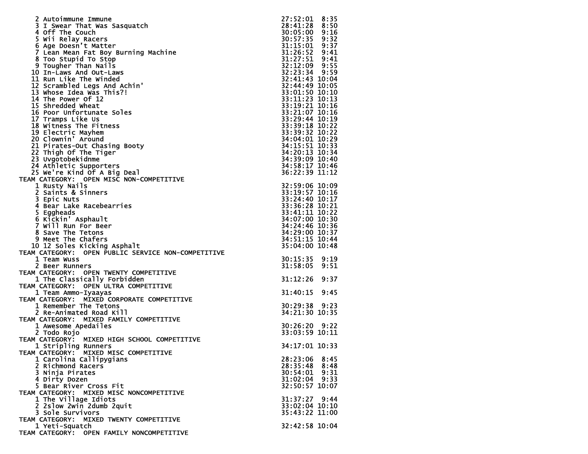| 2 Autoimmune Immune                                          | 27:52:01        | 8:35 |
|--------------------------------------------------------------|-----------------|------|
| 3 I Swear That Was Sasquatch                                 | 28:41:28        | 8:50 |
| 4 Off The Couch                                              | 30:05:00        | 9:16 |
| 5 Wii Relay Racers                                           | 30:57:35        | 9:32 |
| 6 Age Doesn't Matter                                         | 31:15:01 9:37   |      |
| 7 Lean Mean Fat Boy Burning Machine                          | 31:26:52        | 9:41 |
| 8 Too Stupid To Stop                                         | 31:27:51 9:41   |      |
| 9 Tougher Than Nails                                         | 32:12:09 9:55   |      |
| 10 In-Laws And Out-Laws                                      | 32:23:34 9:59   |      |
| 11 Run Like The Winded                                       | 32:41:43 10:04  |      |
| 12 Scrambled Legs And Achin'                                 | 32:44:49 10:05  |      |
| 13 Whose Idea Was This?!                                     | 33:01:50 10:10  |      |
| 14 The Power Of 12                                           | 33:11:23 10:13  |      |
| 15 Shredded Wheat                                            | 33:19:21 10:16  |      |
| 16 Poor Unfortunate Soles                                    | 33:21:07 10:16  |      |
| 17 Tramps Like Us                                            | 33:29:44 10:19  |      |
| 18 Witness The Fitness                                       | 33:39:18 10:22  |      |
| 19 Electric Mayhem                                           | 33:39:32 10:22  |      |
| 20 Clownin' Around                                           | 34:04:01 10:29  |      |
| 21 Pirates-Out Chasing Booty                                 | 34:15:51 10:33  |      |
| 22 Thigh Of The Tiger                                        | 34:20:13 10:34  |      |
| 23 Uvgotobekidnme                                            | 34:39:09 10:40  |      |
| 24 Athletic Supporters                                       | 34:58:17 10:46  |      |
| 25 We're Kind Of A Big Deal                                  | 36:22:39 11:12  |      |
| TEAM CATEGORY: OPEN MISC NON-COMPETITIVE                     |                 |      |
| 1 Rusty Nails                                                | 32:59:06 10:09  |      |
| 2 Saints & Sinners                                           | 33:19:57 10:16  |      |
| 3 Epic Nuts                                                  | 33:24:40 10:17  |      |
| 4 Bear Lake Racebearries                                     | 33:36:28 10:21  |      |
| 5 Eggheads                                                   | 33:41:11 10:22  |      |
| 6 Kickin' Asphault                                           | 34:07:00 10:30  |      |
| 7 Will Run For Beer                                          | 34:24:46 10:36  |      |
| 8 Save The Tetons                                            | 34:29:00 10:37  |      |
| 9 Meet The Chafers                                           | 34:51:15 10:44  |      |
| 10 12 Soles Kicking Asphalt                                  | 35:04:00 10:48  |      |
| TEAM CATEGORY: OPEN PUBLIC SERVICE NON-COMPETITIVE           |                 |      |
| 1 Team Wuss                                                  | 30:15:35        | 9:19 |
| 2 Beer Runners                                               | 31:58:05        | 9:51 |
| TEAM CATEGORY: OPEN TWENTY COMPETITIVE                       |                 |      |
| 1 The Classically Forbidden                                  | 31:12:26        | 9:37 |
| <b>OPEN ULTRA COMPETITIVE</b><br>TEAM CATEGORY:              |                 |      |
| 1 Team Ammo-Iyaayas                                          | 31:40:15        | 9:45 |
| TEAM CATEGORY: MIXED CORPORATE COMPETITIVE                   |                 |      |
| 1 Remember The Tetons                                        | 30:29:38        | 9:23 |
| 2 Re-Animated Road Kill                                      | 34:21:30 10:35  |      |
| TEAM CATEGORY: MIXED FAMILY COMPETITIVE                      |                 |      |
| 1 Awesome Apedailes                                          | 30:26:20        | 9:22 |
| 2 Todo Rojo                                                  | 33:03:59 10:11  |      |
| TEAM CATEGORY: MIXED HIGH SCHOOL COMPETITIVE                 |                 |      |
| 1 Stripling Runners<br>TEAM CATEGORY: MIXED MISC COMPETITIVE | 34:17:01 10:33  |      |
|                                                              |                 |      |
| 1 Carolina Callipygians                                      | 28:23:06 8:45   |      |
| 2 Richmond Racers                                            | 28:35:48 8:48   |      |
| 3 Ninja Pirates                                              | 30:54:01 9:31   |      |
| 4 Dirty Dozen                                                | $31:02:04$ 9:33 |      |
| 5 Bear River Cross Fit                                       | 32:50:57 10:07  |      |
| TEAM CATEGORY: MIXED MISC NONCOMPETITIVE                     |                 |      |
| 1 The Village Idiots                                         | 31:37:27 9:44   |      |
| 2 2slow 2win 2dumb 2quit                                     | 33:02:04 10:10  |      |
| 3 Sole Survivors                                             | 35:43:22 11:00  |      |
| TEAM CATEGORY: MIXED TWENTY COMPETITIVE                      |                 |      |
| 1 Yeti-Squatch                                               | 32:42:58 10:04  |      |
| TEAM CATEGORY: OPEN FAMILY NONCOMPETITIVE                    |                 |      |
|                                                              |                 |      |